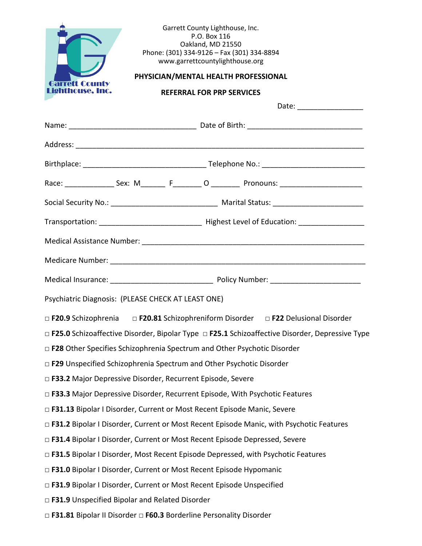|                                                                                    |                                                                          | Garrett County Lighthouse, Inc.<br>P.O. Box 116<br>Oakland, MD 21550<br>Phone: (301) 334-9126 - Fax (301) 334-8894<br>www.garrettcountylighthouse.org |  |                                                                                                            |  |  |
|------------------------------------------------------------------------------------|--------------------------------------------------------------------------|-------------------------------------------------------------------------------------------------------------------------------------------------------|--|------------------------------------------------------------------------------------------------------------|--|--|
| rreff County<br>Lighthouse, Inc.                                                   | PHYSICIAN/MENTAL HEALTH PROFESSIONAL<br><b>REFERRAL FOR PRP SERVICES</b> |                                                                                                                                                       |  |                                                                                                            |  |  |
|                                                                                    |                                                                          |                                                                                                                                                       |  |                                                                                                            |  |  |
|                                                                                    |                                                                          |                                                                                                                                                       |  |                                                                                                            |  |  |
|                                                                                    |                                                                          |                                                                                                                                                       |  |                                                                                                            |  |  |
|                                                                                    |                                                                          |                                                                                                                                                       |  |                                                                                                            |  |  |
|                                                                                    |                                                                          |                                                                                                                                                       |  |                                                                                                            |  |  |
|                                                                                    |                                                                          |                                                                                                                                                       |  |                                                                                                            |  |  |
|                                                                                    |                                                                          |                                                                                                                                                       |  |                                                                                                            |  |  |
|                                                                                    |                                                                          |                                                                                                                                                       |  |                                                                                                            |  |  |
|                                                                                    |                                                                          |                                                                                                                                                       |  |                                                                                                            |  |  |
|                                                                                    |                                                                          |                                                                                                                                                       |  |                                                                                                            |  |  |
| Psychiatric Diagnosis: (PLEASE CHECK AT LEAST ONE)                                 |                                                                          |                                                                                                                                                       |  |                                                                                                            |  |  |
|                                                                                    |                                                                          |                                                                                                                                                       |  | □ F20.9 Schizophrenia □ F20.81 Schizophreniform Disorder □ F22 Delusional Disorder                         |  |  |
|                                                                                    |                                                                          |                                                                                                                                                       |  | $\Box$ F25.0 Schizoaffective Disorder, Bipolar Type $\Box$ F25.1 Schizoaffective Disorder, Depressive Type |  |  |
| $\Box$ F28 Other Specifies Schizophrenia Spectrum and Other Psychotic Disorder     |                                                                          |                                                                                                                                                       |  |                                                                                                            |  |  |
| □ F29 Unspecified Schizophrenia Spectrum and Other Psychotic Disorder              |                                                                          |                                                                                                                                                       |  |                                                                                                            |  |  |
| □ F33.2 Major Depressive Disorder, Recurrent Episode, Severe                       |                                                                          |                                                                                                                                                       |  |                                                                                                            |  |  |
| □ F33.3 Major Depressive Disorder, Recurrent Episode, With Psychotic Features      |                                                                          |                                                                                                                                                       |  |                                                                                                            |  |  |
| □ F31.13 Bipolar I Disorder, Current or Most Recent Episode Manic, Severe          |                                                                          |                                                                                                                                                       |  |                                                                                                            |  |  |
|                                                                                    |                                                                          |                                                                                                                                                       |  | □ F31.2 Bipolar I Disorder, Current or Most Recent Episode Manic, with Psychotic Features                  |  |  |
| □ F31.4 Bipolar I Disorder, Current or Most Recent Episode Depressed, Severe       |                                                                          |                                                                                                                                                       |  |                                                                                                            |  |  |
| □ F31.5 Bipolar I Disorder, Most Recent Episode Depressed, with Psychotic Features |                                                                          |                                                                                                                                                       |  |                                                                                                            |  |  |
| □ F31.0 Bipolar I Disorder, Current or Most Recent Episode Hypomanic               |                                                                          |                                                                                                                                                       |  |                                                                                                            |  |  |
| □ F31.9 Bipolar I Disorder, Current or Most Recent Episode Unspecified             |                                                                          |                                                                                                                                                       |  |                                                                                                            |  |  |
| □ F31.9 Unspecified Bipolar and Related Disorder                                   |                                                                          |                                                                                                                                                       |  |                                                                                                            |  |  |
| □ F31.81 Bipolar II Disorder □ F60.3 Borderline Personality Disorder               |                                                                          |                                                                                                                                                       |  |                                                                                                            |  |  |